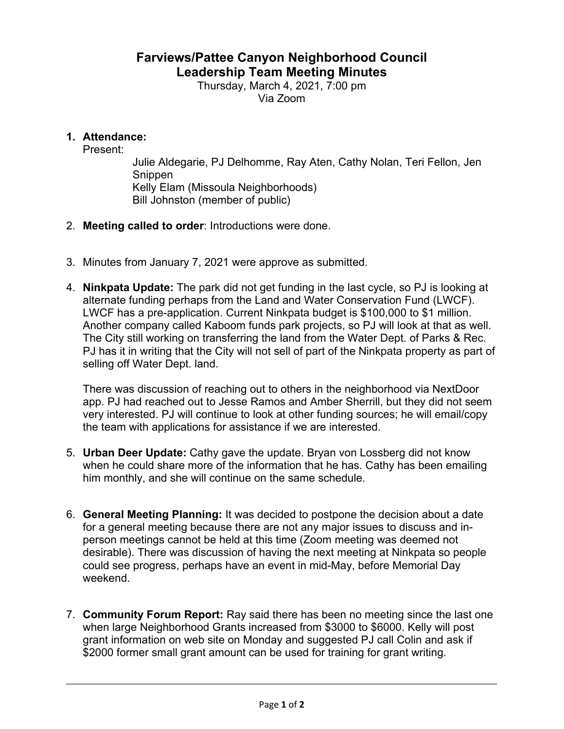## **Farviews/Pattee Canyon Neighborhood Council Leadership Team Meeting Minutes**

Thursday, March 4, 2021, 7:00 pm Via Zoom

## **1. Attendance:**

Present:

Julie Aldegarie, PJ Delhomme, Ray Aten, Cathy Nolan, Teri Fellon, Jen Snippen Kelly Elam (Missoula Neighborhoods) Bill Johnston (member of public)

- 2. **Meeting called to order**: Introductions were done.
- 3. Minutes from January 7, 2021 were approve as submitted.
- 4. **Ninkpata Update:** The park did not get funding in the last cycle, so PJ is looking at alternate funding perhaps from the Land and Water Conservation Fund (LWCF). LWCF has a pre-application. Current Ninkpata budget is \$100,000 to \$1 million. Another company called Kaboom funds park projects, so PJ will look at that as well. The City still working on transferring the land from the Water Dept. of Parks & Rec. PJ has it in writing that the City will not sell of part of the Ninkpata property as part of selling off Water Dept. land.

There was discussion of reaching out to others in the neighborhood via NextDoor app. PJ had reached out to Jesse Ramos and Amber Sherrill, but they did not seem very interested. PJ will continue to look at other funding sources; he will email/copy the team with applications for assistance if we are interested.

- 5. **Urban Deer Update:** Cathy gave the update. Bryan von Lossberg did not know when he could share more of the information that he has. Cathy has been emailing him monthly, and she will continue on the same schedule.
- 6. **General Meeting Planning:** It was decided to postpone the decision about a date for a general meeting because there are not any major issues to discuss and inperson meetings cannot be held at this time (Zoom meeting was deemed not desirable). There was discussion of having the next meeting at Ninkpata so people could see progress, perhaps have an event in mid-May, before Memorial Day weekend.
- 7. **Community Forum Report:** Ray said there has been no meeting since the last one when large Neighborhood Grants increased from \$3000 to \$6000. Kelly will post grant information on web site on Monday and suggested PJ call Colin and ask if \$2000 former small grant amount can be used for training for grant writing.